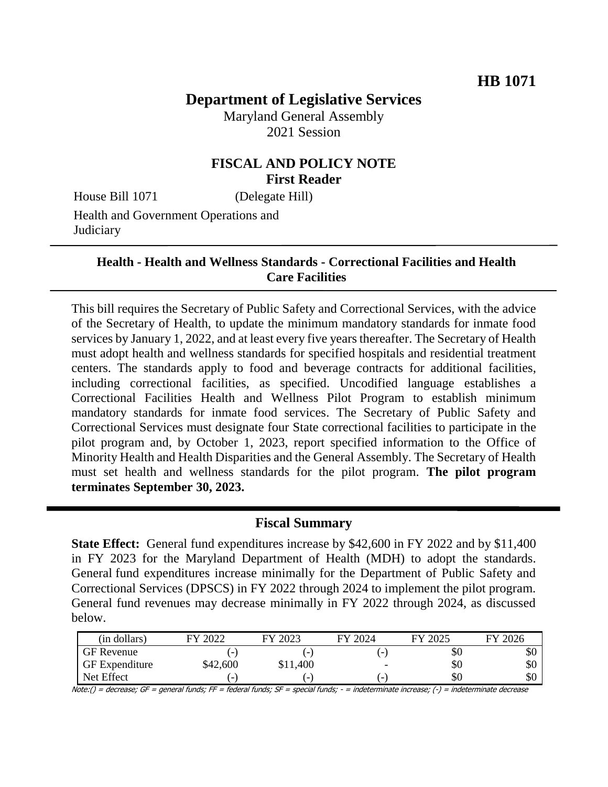# **Department of Legislative Services**

Maryland General Assembly 2021 Session

# **FISCAL AND POLICY NOTE First Reader**

House Bill 1071 (Delegate Hill)

Health and Government Operations and **Judiciary** 

### **Health - Health and Wellness Standards - Correctional Facilities and Health Care Facilities**

This bill requires the Secretary of Public Safety and Correctional Services, with the advice of the Secretary of Health, to update the minimum mandatory standards for inmate food services by January 1, 2022, and at least every five years thereafter. The Secretary of Health must adopt health and wellness standards for specified hospitals and residential treatment centers. The standards apply to food and beverage contracts for additional facilities, including correctional facilities, as specified. Uncodified language establishes a Correctional Facilities Health and Wellness Pilot Program to establish minimum mandatory standards for inmate food services. The Secretary of Public Safety and Correctional Services must designate four State correctional facilities to participate in the pilot program and, by October 1, 2023, report specified information to the Office of Minority Health and Health Disparities and the General Assembly. The Secretary of Health must set health and wellness standards for the pilot program. **The pilot program terminates September 30, 2023.**

### **Fiscal Summary**

**State Effect:** General fund expenditures increase by \$42,600 in FY 2022 and by \$11,400 in FY 2023 for the Maryland Department of Health (MDH) to adopt the standards. General fund expenditures increase minimally for the Department of Public Safety and Correctional Services (DPSCS) in FY 2022 through 2024 to implement the pilot program. General fund revenues may decrease minimally in FY 2022 through 2024, as discussed below.

| (in dollars)          | $E$ V $\Omega$           | 2023                     | $\frac{1}{2}$ 2024       | FY 2025 | FY 2026 |
|-----------------------|--------------------------|--------------------------|--------------------------|---------|---------|
| GF Revenue            | $\overline{\phantom{0}}$ | $\overline{\phantom{0}}$ | -                        | \$0     | ΦU      |
| <b>GF</b> Expenditure | \$42,600                 | \$11,400                 | $\overline{\phantom{a}}$ | \$0     | эU      |
| Net Effect            | -                        | $\overline{\phantom{0}}$ | -                        | \$0     | υU      |

Note:() = decrease; GF = general funds; FF = federal funds; SF = special funds; - = indeterminate increase; (-) = indeterminate decrease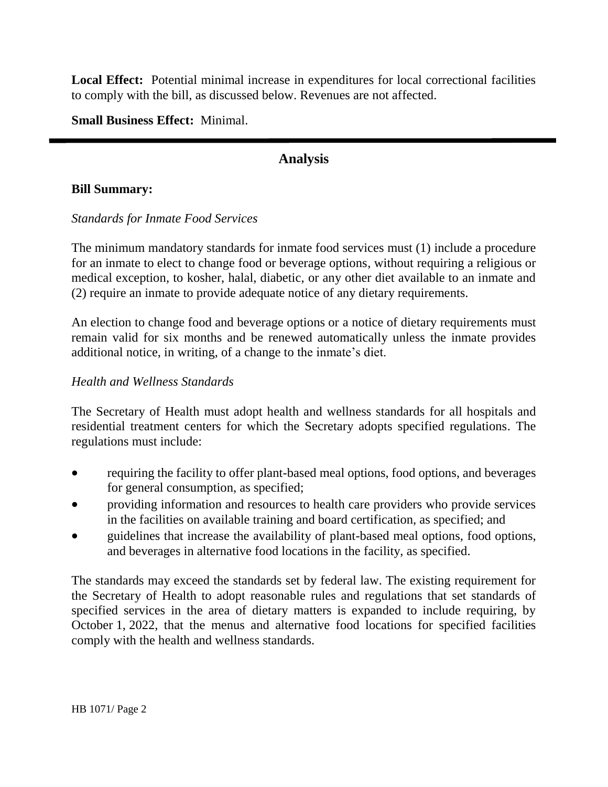**Local Effect:** Potential minimal increase in expenditures for local correctional facilities to comply with the bill, as discussed below. Revenues are not affected.

**Small Business Effect:** Minimal.

# **Analysis**

#### **Bill Summary:**

#### *Standards for Inmate Food Services*

The minimum mandatory standards for inmate food services must (1) include a procedure for an inmate to elect to change food or beverage options, without requiring a religious or medical exception, to kosher, halal, diabetic, or any other diet available to an inmate and (2) require an inmate to provide adequate notice of any dietary requirements.

An election to change food and beverage options or a notice of dietary requirements must remain valid for six months and be renewed automatically unless the inmate provides additional notice, in writing, of a change to the inmate's diet.

#### *Health and Wellness Standards*

The Secretary of Health must adopt health and wellness standards for all hospitals and residential treatment centers for which the Secretary adopts specified regulations. The regulations must include:

- requiring the facility to offer plant-based meal options, food options, and beverages for general consumption, as specified;
- providing information and resources to health care providers who provide services in the facilities on available training and board certification, as specified; and
- guidelines that increase the availability of plant-based meal options, food options, and beverages in alternative food locations in the facility, as specified.

The standards may exceed the standards set by federal law. The existing requirement for the Secretary of Health to adopt reasonable rules and regulations that set standards of specified services in the area of dietary matters is expanded to include requiring, by October 1, 2022, that the menus and alternative food locations for specified facilities comply with the health and wellness standards.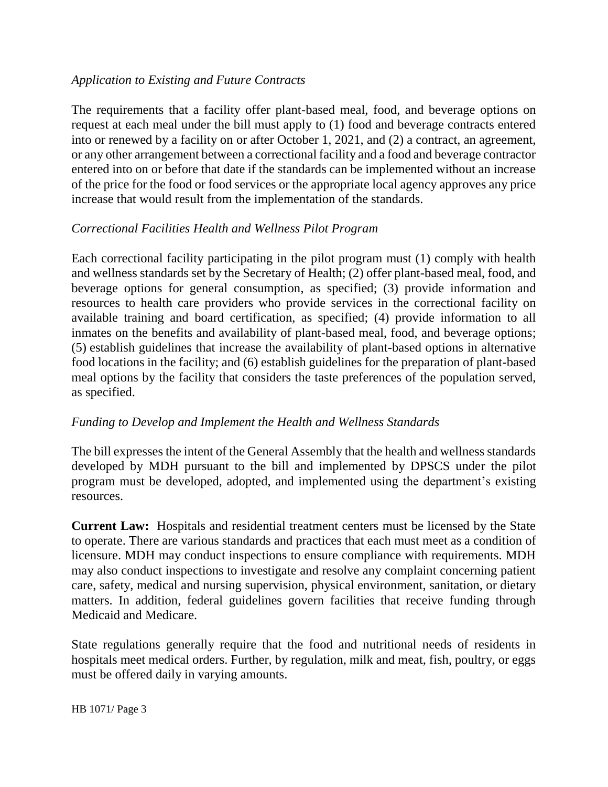### *Application to Existing and Future Contracts*

The requirements that a facility offer plant-based meal, food, and beverage options on request at each meal under the bill must apply to (1) food and beverage contracts entered into or renewed by a facility on or after October 1, 2021, and (2) a contract, an agreement, or any other arrangement between a correctional facility and a food and beverage contractor entered into on or before that date if the standards can be implemented without an increase of the price for the food or food services or the appropriate local agency approves any price increase that would result from the implementation of the standards.

# *Correctional Facilities Health and Wellness Pilot Program*

Each correctional facility participating in the pilot program must (1) comply with health and wellness standards set by the Secretary of Health; (2) offer plant-based meal, food, and beverage options for general consumption, as specified; (3) provide information and resources to health care providers who provide services in the correctional facility on available training and board certification, as specified; (4) provide information to all inmates on the benefits and availability of plant-based meal, food, and beverage options; (5) establish guidelines that increase the availability of plant-based options in alternative food locations in the facility; and (6) establish guidelines for the preparation of plant-based meal options by the facility that considers the taste preferences of the population served, as specified.

### *Funding to Develop and Implement the Health and Wellness Standards*

The bill expresses the intent of the General Assembly that the health and wellness standards developed by MDH pursuant to the bill and implemented by DPSCS under the pilot program must be developed, adopted, and implemented using the department's existing resources.

**Current Law:** Hospitals and residential treatment centers must be licensed by the State to operate. There are various standards and practices that each must meet as a condition of licensure. MDH may conduct inspections to ensure compliance with requirements. MDH may also conduct inspections to investigate and resolve any complaint concerning patient care, safety, medical and nursing supervision, physical environment, sanitation, or dietary matters. In addition, federal guidelines govern facilities that receive funding through Medicaid and Medicare.

State regulations generally require that the food and nutritional needs of residents in hospitals meet medical orders. Further, by regulation, milk and meat, fish, poultry, or eggs must be offered daily in varying amounts.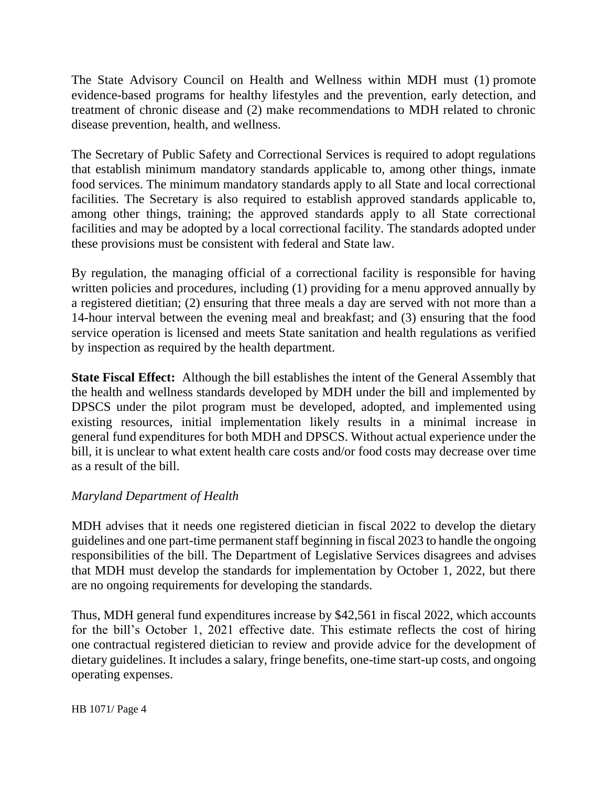The State Advisory Council on Health and Wellness within MDH must (1) promote evidence-based programs for healthy lifestyles and the prevention, early detection, and treatment of chronic disease and (2) make recommendations to MDH related to chronic disease prevention, health, and wellness.

The Secretary of Public Safety and Correctional Services is required to adopt regulations that establish minimum mandatory standards applicable to, among other things, inmate food services. The minimum mandatory standards apply to all State and local correctional facilities. The Secretary is also required to establish approved standards applicable to, among other things, training; the approved standards apply to all State correctional facilities and may be adopted by a local correctional facility. The standards adopted under these provisions must be consistent with federal and State law.

By regulation, the managing official of a correctional facility is responsible for having written policies and procedures, including (1) providing for a menu approved annually by a registered dietitian; (2) ensuring that three meals a day are served with not more than a 14-hour interval between the evening meal and breakfast; and (3) ensuring that the food service operation is licensed and meets State sanitation and health regulations as verified by inspection as required by the health department.

**State Fiscal Effect:** Although the bill establishes the intent of the General Assembly that the health and wellness standards developed by MDH under the bill and implemented by DPSCS under the pilot program must be developed, adopted, and implemented using existing resources, initial implementation likely results in a minimal increase in general fund expenditures for both MDH and DPSCS. Without actual experience under the bill, it is unclear to what extent health care costs and/or food costs may decrease over time as a result of the bill.

### *Maryland Department of Health*

MDH advises that it needs one registered dietician in fiscal 2022 to develop the dietary guidelines and one part-time permanent staff beginning in fiscal 2023 to handle the ongoing responsibilities of the bill. The Department of Legislative Services disagrees and advises that MDH must develop the standards for implementation by October 1, 2022, but there are no ongoing requirements for developing the standards.

Thus, MDH general fund expenditures increase by \$42,561 in fiscal 2022, which accounts for the bill's October 1, 2021 effective date. This estimate reflects the cost of hiring one contractual registered dietician to review and provide advice for the development of dietary guidelines. It includes a salary, fringe benefits, one-time start-up costs, and ongoing operating expenses.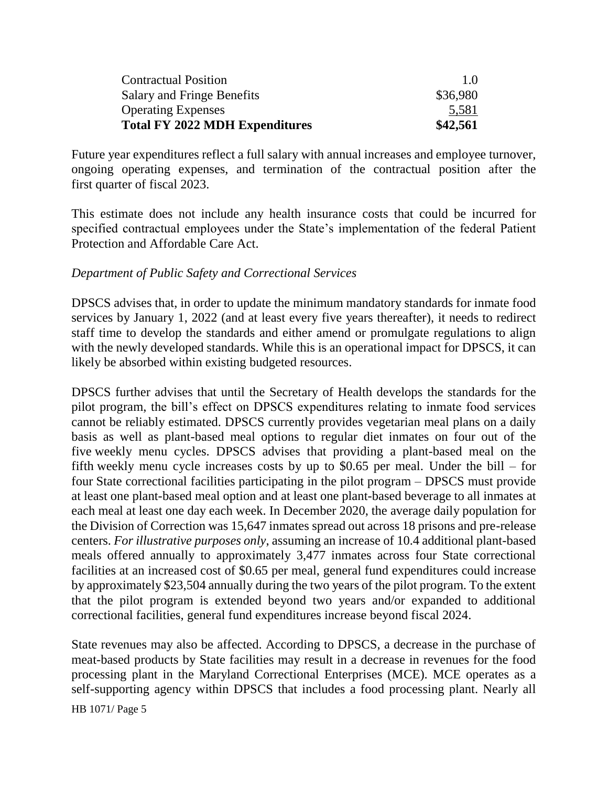| <b>Contractual Position</b>           | 10       |
|---------------------------------------|----------|
| Salary and Fringe Benefits            | \$36,980 |
| <b>Operating Expenses</b>             | 5,581    |
| <b>Total FY 2022 MDH Expenditures</b> | \$42,561 |

Future year expenditures reflect a full salary with annual increases and employee turnover, ongoing operating expenses, and termination of the contractual position after the first quarter of fiscal 2023.

This estimate does not include any health insurance costs that could be incurred for specified contractual employees under the State's implementation of the federal Patient Protection and Affordable Care Act.

### *Department of Public Safety and Correctional Services*

DPSCS advises that, in order to update the minimum mandatory standards for inmate food services by January 1, 2022 (and at least every five years thereafter), it needs to redirect staff time to develop the standards and either amend or promulgate regulations to align with the newly developed standards. While this is an operational impact for DPSCS, it can likely be absorbed within existing budgeted resources.

DPSCS further advises that until the Secretary of Health develops the standards for the pilot program, the bill's effect on DPSCS expenditures relating to inmate food services cannot be reliably estimated. DPSCS currently provides vegetarian meal plans on a daily basis as well as plant-based meal options to regular diet inmates on four out of the five weekly menu cycles. DPSCS advises that providing a plant-based meal on the fifth weekly menu cycle increases costs by up to \$0.65 per meal. Under the bill – for four State correctional facilities participating in the pilot program – DPSCS must provide at least one plant-based meal option and at least one plant-based beverage to all inmates at each meal at least one day each week. In December 2020, the average daily population for the Division of Correction was 15,647 inmates spread out across 18 prisons and pre-release centers. *For illustrative purposes only*, assuming an increase of 10.4 additional plant-based meals offered annually to approximately 3,477 inmates across four State correctional facilities at an increased cost of \$0.65 per meal, general fund expenditures could increase by approximately \$23,504 annually during the two years of the pilot program. To the extent that the pilot program is extended beyond two years and/or expanded to additional correctional facilities, general fund expenditures increase beyond fiscal 2024.

State revenues may also be affected. According to DPSCS, a decrease in the purchase of meat-based products by State facilities may result in a decrease in revenues for the food processing plant in the Maryland Correctional Enterprises (MCE). MCE operates as a self-supporting agency within DPSCS that includes a food processing plant. Nearly all